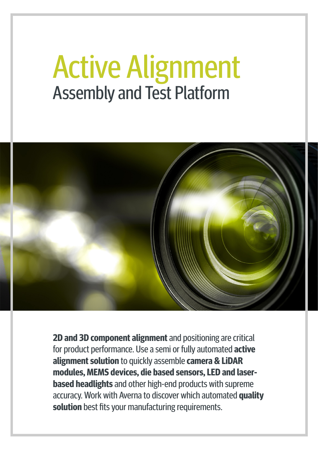# Active Alignment Assembly and Test Platform



**2D and 3D component alignment** and positioning are critical for product performance. Use a semi or fully automated **active alignment solution** to quickly assemble **camera & LiDAR modules, MEMS devices, die based sensors, LED and laserbased headlights** and other high-end products with supreme accuracy. Work with Averna to discover which automated **quality solution** best fits your manufacturing requirements.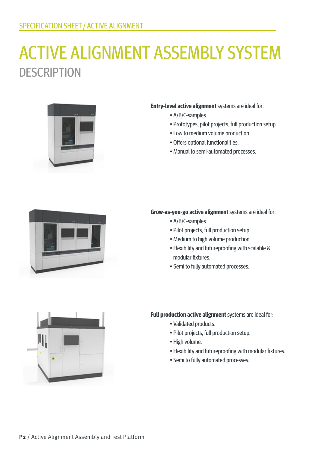# ACTIVE ALIGNMENT ASSEMBLY SYSTEM **DESCRIPTION**



**Entry-level active alignment** systems are ideal for:

- A/B/C-samples.
- Prototypes, pilot projects, full production setup.
- Low to medium volume production.
- Offers optional functionalities.
- Manual to semi-automated processes.



### **Grow-as-you-go active alignment** systems are ideal for:

- A/B/C-samples.
- Pilot projects, full production setup.
- Medium to high volume production.
- Flexibility and futureproofing with scalable & modular fixtures.
- Semi to fully automated processes.



### **Full production active alignment** systems are ideal for:

- Validated products.
- Pilot projects, full production setup.
- High volume.
- Flexibility and futureproofing with modular fixtures.
- Semi to fully automated processes.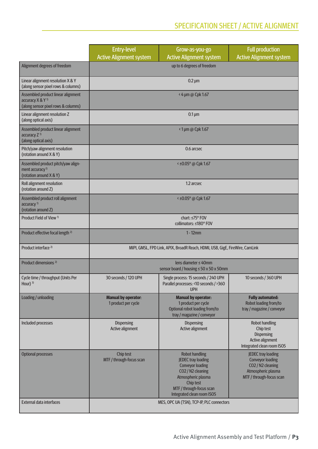|                                                                                                           | <b>Entry-level</b>                                                           | Grow-as-you-go                                                                                                                                                                                  | <b>Full production</b>                                                                                                      |
|-----------------------------------------------------------------------------------------------------------|------------------------------------------------------------------------------|-------------------------------------------------------------------------------------------------------------------------------------------------------------------------------------------------|-----------------------------------------------------------------------------------------------------------------------------|
| Alignment degrees of freedom                                                                              | <b>Active Alignment system</b>                                               | <b>Active Alignment system</b><br>up to 6 degrees of freedom                                                                                                                                    | <b>Active Alignment system</b>                                                                                              |
|                                                                                                           |                                                                              |                                                                                                                                                                                                 |                                                                                                                             |
| Linear alignment resolution X & Y<br>(along sensor pixel rows & columns)                                  |                                                                              | $0.2 \,\mathrm{\upmu m}$                                                                                                                                                                        |                                                                                                                             |
| Assembled product linear alignment<br>accuracy X & Y <sup>1)</sup><br>(along sensor pixel rows & columns) | < 4 µm @ Cpk 1.67                                                            |                                                                                                                                                                                                 |                                                                                                                             |
| Linear alignment resolution Z<br>(along optical axis)                                                     | $0.1 \,\mathrm{\mu m}$                                                       |                                                                                                                                                                                                 |                                                                                                                             |
| Assembled product linear alignment<br>accuracy $Z^{1}$<br>(along optical axis)                            | <1 µm @ Cpk 1.67                                                             |                                                                                                                                                                                                 |                                                                                                                             |
| Pitch/yaw alignment resolution<br>(rotation around X & Y)                                                 | 0.6 arcsec                                                                   |                                                                                                                                                                                                 |                                                                                                                             |
| Assembled product pitch/yaw align-<br>ment accuracy <sup>1)</sup><br>(rotation around X & Y)              |                                                                              | < ±0.05° @ Cpk 1.67                                                                                                                                                                             |                                                                                                                             |
| Roll alignment resolution<br>(rotation around Z)                                                          | 1.2 arcsec                                                                   |                                                                                                                                                                                                 |                                                                                                                             |
| Assembled product roll alignment<br>accuracy <sup>1)</sup><br>(rotation around Z)                         | < ±0.05° @ Cpk 1.67                                                          |                                                                                                                                                                                                 |                                                                                                                             |
| Product Field of View <sup>1)</sup>                                                                       | chart: ≤75° FOV<br>collimators: ≤180° FOV                                    |                                                                                                                                                                                                 |                                                                                                                             |
| Product effective focal length <sup>2)</sup>                                                              | $1 - 12$ mm                                                                  |                                                                                                                                                                                                 |                                                                                                                             |
| Product interface <sup>2)</sup>                                                                           | MIPI, GMSL, FPD Link, APIX, BroadR Reach, HDMI, USB, GigE, FireWire, CamLink |                                                                                                                                                                                                 |                                                                                                                             |
| Product dimensions <sup>2)</sup>                                                                          | lens diameter $\leq 40$ mm<br>sensor board / housing $\leq$ 50 x 50 x 50mm   |                                                                                                                                                                                                 |                                                                                                                             |
| Cycle time / throughput (Units Per<br>Hour) $3)$                                                          | 30 seconds / 120 UPH                                                         | Single process: 15 seconds / 240 UPH<br>Parallel processes: < 10 seconds / > 360<br><b>UPH</b>                                                                                                  | 10 seconds / 360 UPH                                                                                                        |
| Loading / unloading                                                                                       | <b>Manual by operator:</b><br>1 product per cycle                            | <b>Manual by operator:</b><br>1 product per cycle<br>Optional robot loading from/to<br>tray / magazine / conveyor                                                                               | <b>Fully automated:</b><br>Robot loading from/to<br>tray / magazine / conveyor                                              |
| Included processes                                                                                        | <b>Dispensing</b><br>Active alignment                                        | <b>Dispensing</b><br><b>Active alignment</b>                                                                                                                                                    | <b>Robot handling</b><br>Chip test<br><b>Dispensing</b><br>Active alignment<br>Integrated clean room ISO5                   |
| <b>Optional processes</b>                                                                                 | Chip test<br>MTF / through-focus scan                                        | <b>Robot handling</b><br><b>JEDEC tray loading</b><br><b>Conveyor loading</b><br>CO2 / N2 cleaning<br>Atmospheric plasma<br>Chip test<br>MTF / through-focus scan<br>Integrated clean room ISO5 | <b>JEDEC tray loading</b><br><b>Conveyor loading</b><br>CO2 / N2 cleaning<br>Atmospheric plasma<br>MTF / through-focus scan |
| <b>External data interfaces</b>                                                                           |                                                                              | MES, OPC UA (TSN), TCP-IP, PLC connectors                                                                                                                                                       |                                                                                                                             |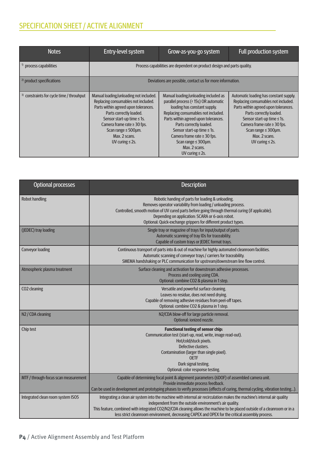# SPECIFICATION SHEET / ACTIVE ALIGNMENT

| <b>Notes</b>                                         | Entry-level system                                                                                                                                                                                                                                                                                 | Grow-as-you-go system                                                                                                                                                                                                                                                                                                                                                     | Full production system                                                                                                                                                                                                                                                                             |
|------------------------------------------------------|----------------------------------------------------------------------------------------------------------------------------------------------------------------------------------------------------------------------------------------------------------------------------------------------------|---------------------------------------------------------------------------------------------------------------------------------------------------------------------------------------------------------------------------------------------------------------------------------------------------------------------------------------------------------------------------|----------------------------------------------------------------------------------------------------------------------------------------------------------------------------------------------------------------------------------------------------------------------------------------------------|
| process capabilities                                 | Process capabilities are dependent on product design and parts quality.                                                                                                                                                                                                                            |                                                                                                                                                                                                                                                                                                                                                                           |                                                                                                                                                                                                                                                                                                    |
| <sup>2)</sup> product specifications                 | Deviations are possible, contact us for more information.                                                                                                                                                                                                                                          |                                                                                                                                                                                                                                                                                                                                                                           |                                                                                                                                                                                                                                                                                                    |
| <sup>3)</sup> constraints for cycle time / throuhput | Manual loading/unloading not included.<br>Replacing consumables not included.<br>Parts within agreed upon tolerances.<br>Parts correctly loaded.<br>Sensor start-up time $\leq$ 1s.<br>Camera frame rate $\geq$ 30 fps.<br>Scan range $\leq$ 500 $\mu$ m.<br>Max. 2 scans.<br>UV curing $\leq$ 2s. | Manual loading/unloading included as<br>parallel process (< 15s) OR automatic<br>loading has constant supply.<br>Replacing consumables not included.<br>Parts within agreed upon tolerances.<br>Parts correctly loaded.<br>Sensor start-up time $\leq$ 1s.<br>Camera frame rate $\geq$ 30 fps.<br>Scan range $\leq$ 300 $\mu$ m.<br>Max. 2 scans.<br>UV curing $\leq$ 2s. | Automatic loading has constant supply.<br>Replacing consumables not included.<br>Parts within agreed upon tolerances.<br>Parts correctly loaded.<br>Sensor start-up time $\leq$ 1s.<br>Camera frame rate $\geq$ 30 fps.<br>Scan range $\leq$ 300 $\mu$ m.<br>Max. 2 scans.<br>UV curing $\leq$ 2s. |

| <b>Optional processes</b>            | <b>Description</b>                                                                                                                                                                                                                                                                                                                                                                                                  |
|--------------------------------------|---------------------------------------------------------------------------------------------------------------------------------------------------------------------------------------------------------------------------------------------------------------------------------------------------------------------------------------------------------------------------------------------------------------------|
| <b>Robot handling</b>                | Robotic handing of parts for loading & unloading.<br>Removes operator variability from loading / unloading process.<br>Controlled, smooth motion of UV cured parts before going through thermal curing (if applicable).<br>Depending on application: SCARA or 6-axis robot.<br>Optional: Quick-exchange grippers for different product types.                                                                       |
| (JEDEC) tray loading                 | Single tray or magazine of trays for input/output of parts.<br>Automatic scanning of tray IDs for traceability.<br>Capable of custom trays or JEDEC format trays.                                                                                                                                                                                                                                                   |
| <b>Conveyor loading</b>              | Continuous transport of parts into & out of machine for highly automated cleanroom facilities.<br>Automatic scanning of conveyor trays / carriers for traceability.<br>SMEMA handshaking or PLC communication for upstream/downstream line flow control.                                                                                                                                                            |
| Atmospheric plasma treatment         | Surface cleaning and activation for downstream adhesive processes.<br>Process and cooling using CDA.<br>Optional: combine CO2 & plasma in 1 step.                                                                                                                                                                                                                                                                   |
| CO2 cleaning                         | Versatile and powerful surface cleaning.<br>Leaves no residue, does not need drying.<br>Capable of removing adhesive residues from peel-off tapes.<br>Optional: combine CO2 & plasma in 1 step.                                                                                                                                                                                                                     |
| N <sub>2</sub> / CDA cleaning        | N2/CDA blow-off for large particle removal.<br>Optional: ionized nozzle.                                                                                                                                                                                                                                                                                                                                            |
| Chip test                            | <b>Functional testing of sensor chip:</b><br>Communication test (start-up, read, write, image read-out).<br>Hot/cold/stuck pixels.<br>Defective clusters.<br>Contamination (larger than single pixel).<br><b>OETF</b><br>Dark signal testing.<br>Optional: color response testing.                                                                                                                                  |
| MTF / through-focus scan measurement | Capable of determining focal point & alignment parameters (6DOF) of assembled camera unit.<br>Provide immediate process feedback.<br>Can be used in development and prototyping phases to verify processes (effects of curing, thermal cycling, vibration testing).                                                                                                                                                 |
| Integrated clean room system ISO5    | Integrating a clean air system into the machine with internal air recirculation makes the machine's internal air quality<br>independent from the outside environment's air quality.<br>This feature, combined with integrated CO2/N2/CDA cleaning allows the machine to be placed outside of a cleanroom or in a<br>less strict cleanroom environment, decreasing CAPEX and OPEX for the critical assembly process. |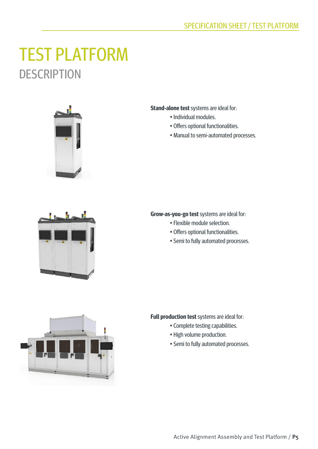# TEST PLATFORM **DESCRIPTION**



**Stand-alone test** systems are ideal for:

- Individual modules.
- Offers optional functionalities.
- Manual to semi-automated processes.



#### **Grow-as-you-go test** systems are ideal for:

- Flexible module selection.
- Offers optional functionalities.
- Semi to fully automated processes.



### **Full production test** systems are ideal for:

- Complete testing capabilities.
- High volume production.
- Semi to fully automated processes.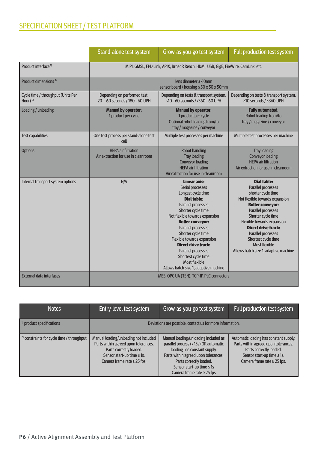# SPECIFICATION SHEET / TEST PLATFORM

|                                                     | Stand-alone test system                                                            | Grow-as-you-go test system                                                                                                                                                                                                                                                                                                                                                                                                | <b>Full production test system</b>                                                                                                                                                                                                                                                                                                                |  |
|-----------------------------------------------------|------------------------------------------------------------------------------------|---------------------------------------------------------------------------------------------------------------------------------------------------------------------------------------------------------------------------------------------------------------------------------------------------------------------------------------------------------------------------------------------------------------------------|---------------------------------------------------------------------------------------------------------------------------------------------------------------------------------------------------------------------------------------------------------------------------------------------------------------------------------------------------|--|
| Product interface <sup>1)</sup>                     | MIPI, GMSL, FPD Link, APIX, BroadR Reach, HDMI, USB, GigE, FireWire, CamLink, etc. |                                                                                                                                                                                                                                                                                                                                                                                                                           |                                                                                                                                                                                                                                                                                                                                                   |  |
| Product dimensions <sup>1)</sup>                    |                                                                                    | lens diameter ≤ 40mm<br>sensor board / housing $\leq$ 50 x 50 x 50mm                                                                                                                                                                                                                                                                                                                                                      |                                                                                                                                                                                                                                                                                                                                                   |  |
| Cycle time / throughput (Units Per<br>Hour) $^{2)}$ | Depending on performed test:<br>20 - 60 seconds / 180 - 60 UPH                     | Depending on tests & transport system:<br><10 - 60 seconds / >360 - 60 UPH                                                                                                                                                                                                                                                                                                                                                | Depending on tests & transport system:<br>≥10 seconds / ≤360 UPH                                                                                                                                                                                                                                                                                  |  |
| Loading / unloading                                 | <b>Manual by operator:</b><br>1 product per cycle                                  | <b>Manual by operator:</b><br>1 product per cycle<br>Optional robot loading from/to<br>tray / magazine / conveyor                                                                                                                                                                                                                                                                                                         | <b>Fully automated:</b><br>Robot loading from/to<br>tray / magazine / conveyor                                                                                                                                                                                                                                                                    |  |
| <b>Test capabilities</b>                            | One test process per stand-alone test<br>cell                                      | Multiple test processes per machine                                                                                                                                                                                                                                                                                                                                                                                       | Multiple test processes per machine                                                                                                                                                                                                                                                                                                               |  |
| <b>Options</b>                                      | <b>HEPA air filtration</b><br>Air extraction for use in cleanroom                  | <b>Robot handling</b><br><b>Tray loading</b><br><b>Conveyor loading</b><br><b>HEPA air filtration</b><br>Air extraction for use in cleanroom                                                                                                                                                                                                                                                                              | <b>Tray loading</b><br><b>Conveyor loading</b><br><b>HEPA air filtration</b><br>Air extraction for use in cleanroom                                                                                                                                                                                                                               |  |
| Internal transport system options                   | N/A                                                                                | <b>Linear axis:</b><br>Serial processes<br>Longest cycle time<br><b>Dial table:</b><br>Parallel processes<br>Shorter cycle time<br>Not flexible towards expansion<br><b>Roller conveyor:</b><br><b>Parallel processes</b><br>Shorter cycle time<br>Flexible towards expansion<br><b>Direct drive track:</b><br>Parallel processes<br>Shortest cycle time<br><b>Most flexible</b><br>Allows batch size 1, adaptive machine | <b>Dial table:</b><br>Parallel processes<br>shorter cycle time<br>Not flexible towards expansion<br><b>Roller conveyor:</b><br>Parallel processes<br>Shorter cycle time<br>Flexible towards expansion<br><b>Direct drive track:</b><br>Parallel processes<br>Shortest cycle time<br><b>Most flexible</b><br>Allows batch size 1, adaptive machine |  |
| <b>External data interfaces</b>                     |                                                                                    | MES, OPC UA (TSN), TCP-IP, PLC connectors                                                                                                                                                                                                                                                                                                                                                                                 |                                                                                                                                                                                                                                                                                                                                                   |  |

| <b>Notes</b>                                          | Entry-level test system                                                                                                                                                         | Grow-as-you-go test system                                                                                                                                                                                                                             | Full production test system                                                                                                                                                      |
|-------------------------------------------------------|---------------------------------------------------------------------------------------------------------------------------------------------------------------------------------|--------------------------------------------------------------------------------------------------------------------------------------------------------------------------------------------------------------------------------------------------------|----------------------------------------------------------------------------------------------------------------------------------------------------------------------------------|
| <sup>1)</sup> product specifications                  |                                                                                                                                                                                 | Deviations are possible, contact us for more information.                                                                                                                                                                                              |                                                                                                                                                                                  |
| <sup>2)</sup> constraints for cycle time / throughput | Manual loading/unloading not included<br>Parts within agreed upon tolerances.<br>Parts correctly loaded.<br>Sensor start-up time $\leq$ 1s.<br>Camera frame rate $\geq$ 25 fps. | Manual loading/unloading included as<br>parallel process (< 15s) OR automatic<br>loading has constant supply.<br>Parts within agreed upon tolerances.<br>Parts correctly loaded.<br>Sensor start-up time $\leq 1$ s<br>Camera frame rate $\geq$ 25 fps | Automatic loading has constant supply.<br>Parts within agreed upon tolerances.<br>Parts correctly loaded.<br>Sensor start-up time $\leq$ 1s.<br>Camera frame rate $\geq$ 25 fps. |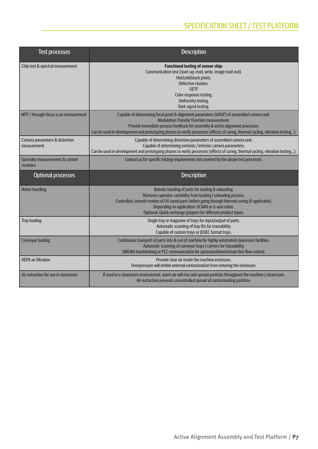| <b>Test processes</b>                                | <b>Description</b>                                                                                                                                                                                                                                                                                                                                                |
|------------------------------------------------------|-------------------------------------------------------------------------------------------------------------------------------------------------------------------------------------------------------------------------------------------------------------------------------------------------------------------------------------------------------------------|
| Chip test & spectral measurement                     | <b>Functional testing of sensor chip:</b><br>Communication test (start-up, read, write, image read-out).<br>Hot/cold/stuck pixels.<br>Defective clusters.<br><b>OETF</b><br>Color response testing.<br>Uniformity testing.<br>Dark signal testing.                                                                                                                |
| MTF / through-focus scan measurement                 | Capable of determining focal point & alignment parameters (6DOF) of assembled camera unit.<br><b>Modulation Transfer Function measurement.</b><br>Provide immediate process feedback for assembly & active alignment processes.<br>Can be used in development and prototyping phases to verify processes (effects of curing, thermal cycling, vibration testing). |
| Camera parameters & distortion<br><i>measurement</i> | Capable of determining distortion parameters of assembled camera unit.<br>Capable of determining extrinsic / intrinsic camera parameters.<br>Can be used in development and prototyping phases to verify processes (effects of curing, thermal cycling, vibration testing).                                                                                       |
| Specialty measurements & custom<br>modules           | Contact us for specific testing requirements not covered by the above test processes.                                                                                                                                                                                                                                                                             |
| <b>Optional processes</b>                            | <b>Description</b>                                                                                                                                                                                                                                                                                                                                                |
| <b>Robot handling</b>                                | Robotic handing of parts for loading & unloading.<br>Removes operator variability from loading / unloading process.<br>Controlled, smooth motion of UV cured parts before going through thermal curing (if applicable).<br>Depending on application: SCARA or 6-axis robot.<br>Optional: Quick-exchange grippers for different product types.                     |
| <b>Tray loading</b>                                  | Single tray or magazine of trays for input/output of parts.<br>Automatic scanning of tray IDs for traceability.<br>Capable of custom trays or JEDEC format trays.                                                                                                                                                                                                 |
| <b>Conveyor loading</b>                              | Continuous transport of parts into & out of machine for highly automated cleanroom facilities.<br>Automatic scanning of conveyor trays / carriers for traceability.<br>SMEMA handshaking or PLC communication for upstream/downstream line flow control.                                                                                                          |
| <b>HEPA</b> air filtration                           | Provide clear air inside the machine enclosure.<br>Overpressure will inhibit external contamination from entering the enclosure.                                                                                                                                                                                                                                  |
| Air extraction for use in cleanroom                  | If used in a cleanroom environment, warm air will rise and spread particles throughout the machine / cleanroom.<br>Air extraction prevents uncontrolled spread of contaminating particles.                                                                                                                                                                        |